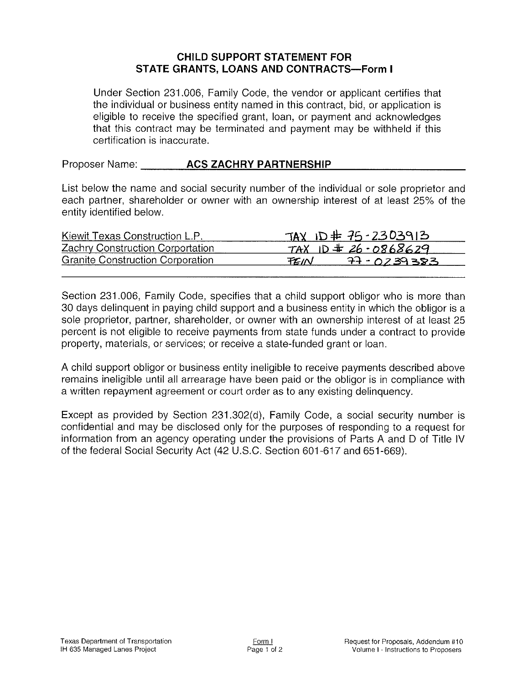## CHILD SUPPORT STATEMENT FOR STATE GRANTS, LOANS AND CONTRACTS-Form I

Under Section 231.006, Family Code, the vendor or applicant certifies that the individual or business entity named in this contract, bid, or application is eligible to receive the specified grant, loan, or payment and acknowledges that this contract may be terminated and payment may be withheld if this certification is inaccurate,

Proposer Name: **ACS ZACHRY PARTNERSHIP** 

List below the name and social security number of the individual or sole proprietor and each partner, shareholder or owner with an ownership interest of at least 25% of the entity identified below.

| Kiewit Texas Construction L.P.          | TAX ID # $75 - 2303913$ |
|-----------------------------------------|-------------------------|
| <b>Zachry Construction Corportation</b> | TAX ID $\pm$ 26-0868629 |
| <b>Granite Construction Corporation</b> | $77 - 0239383$<br>TZ IN |

Section 231.006, Family Code, specifies that a child support obligor who is more than 30 days delinquent in paying child support and a business entity in which the obligor is a sole proprietor, partner, shareholder, or owner with an ownership interest of at least 25 percent is not eligible to receive payments from state funds under a contract to provide property, materials, or seruices; or receive a state-funded grant or loan.

A child support obligor or business entity ineligible to receive payments described above remains ineligible until all arrearage have been paid or the obligor is in compliance with a written repayment agreement or court order as to any existing delinquency.

Except as provided by Section 231.302(d), Family Code, a social security number is confidential and may be disclosed only for the purposes of respondíng to a request for information from an agency operating under the provisions of Parts A and D of Title lV of the federal Social Security Act (42 U.S.C. Section 601-617 and 651-669).